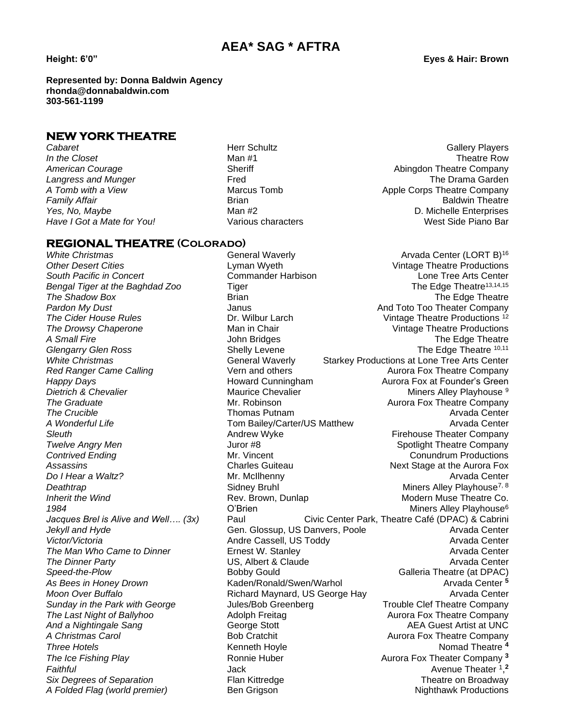### **AEA\* SAG \* AFTRA**

**Represented by: Donna Baldwin Agency rhonda@donnabaldwin.com 303-561-1199**

#### **NEW YORK THEATRE**

**Have I Got a Mate for You!** 

**Cabaret Herr Schultz Cabaret** Gallery Players **Cabaret Herr Schultz** Callery Players *In the Closet* Man #1 **Man #1** Man #1 **Theatre Row** American Courage **Abing Courage Company** Sheriff Abing Abingdon Theatre Company **Langress and Munger** The Treation of The Drama Garden The Drama Garden The Drama Garden The Drama Garden The Drama Garden The Drama Garden The Drama Garden The Drama Garden The Drama Garden The Drama Garden The Drama Gard *A Tomb with a View* Marcus Tomb Apple Corps Theatre Company **Family Affair Brian Brian Brian Brian Brian Baldwin Theatre Baldwin Theatre** Yes, No, Maybe **Man #2** Man #2 degree and the Man Andrew D. Michelle Enterprises<br>Have I Got a Mate for You! Various characters **All and An Andrew Andrew West Side Piano Bar** 

#### **REGIONAL THEATRE (Colorado)**

*The Man Who Came to Dinner* Ernest W. Stanley

*White Christmas* **General Waverly Arvada Center (LORT B)**<sup>16</sup> **Arvada Center (LORT B)**<sup>16</sup> *Other Desert Cities* Lyman Wyeth Vintage Theatre Productions *South Pacific in Concert* Commander Harbison Lone Tree Arts Center **Bengal Tiger at the Baghdad Zoo** Tiger The The Edge Theatre<sup>13,14,15</sup> **The Shadow Box Brian** Brian **Brian The Shadow Box** The Edge Theatre Pardon My Dust **And Toto Too Theater Company**<br>The Cider House Rules **And Toto Too Theater Company** Company The Cider House Theatre Productions<sup>12</sup> **The Cider House Rules Dr. Wilbur Larch Millet Constructions** 12 **The Drowsy Chaperone** The Man in Chair The Man Vintage Theatre Productions A Small Fire **The Edge Theatre** John Bridges **The Edge Theatre** The Edge Theatre **Glengarry Glen Ross** Shelly Levene The Edge Theatre 10,11 White Christmas **Mature 20 Starkey Productions at Lone Tree Arts Center** General Waverly Starkey Productions at Lone Tree Arts Center **Red Ranger Came Calling The State Vern and others The Aurora Fox Theatre Company** *Happy Days* Howard Cunningham Aurora Fox at Founder's Green **Dietrich & Chevalier** Maurice Chevalier Maurice Chevalier Miners Alley Playhouse 9 **The Graduate** The Graduate **Mr. Robinson** Mr. Robinson Aurora Fox Theatre Company **The Crucible Contract Contract Contract Contract Thomas Putnam Arvan Arvada Center** Arvada Center A Wonderful Life **The Conduct Conduct Conduct Conduct** Tom Bailey/Carter/US Matthew **Arvada Center Sleuth Andrew Wyke Andrew Wyke Firehouse Theater Company Twelve Angry Men Support Angry Menu Company** Juror #8 **Spotlight Theatre Company Contrived Ending Contribution Contribution Contribution Contribution Conundrum Productions** Assassins **Assassing Charles Guiteau Next Stage at the Aurora Fox Do I Hear a Waltz?** Mr. McIlhenny Arvada Center Arvada Center **Deathtrap Sidney Bruhl Miners Alley Playhouse**<sup>7, 8</sup> *Inherit the Wind* **Rev. Brown, Dunlap Modern Muse Theatre Co.** And Theatre Co. *1984* O'Brien Miners Alley Playhouse<sup>6</sup> *Jacques Brel is Alive and Well…. (3x)* Paul Civic Center Park, Theatre Café (DPAC) & Cabrini *Jekyll and Hyde* **Gen. Glossup, US Danvers, Poole General Arvada Center** Arvada Center Victor/Victoria **Andre Cassell, US Toddy Contract Contract A**rvada Center<br>
The Man Who Came to Dinner **Arrie Contract Contract Center** Contract Center **Arvada Center** The Dinner Party **The Dinner Party**<br>
Speed-the-Plow **Callet Arvada Center**<br>
Bobby Gould Could Calleria Theatre (at DPAC) **Bobby Gould Galleria Theatre (at DPAC)** *As Bees in Honey Drown* Kaden/Ronald/Swen/Warhol Arvada Center **<sup>5</sup> Moon Over Buffalo Richard Maynard, US George Hay Arvada Center** Arvada Center *Sunday in the Park with George* Jules/Bob Greenberg Trouble Clef Theatre Company *The Last Night of Ballyhoo* Adolph Freitag Aurora Fox Theatre Company **And a Nightingale Sang The Contract Ceorge Stott AEA Guest Artist at UNC** A Christmas Carol **Aurora Company** Bob Cratchit **Aurora Fox Theatre Company Three Hotels Kenneth Hoyle Kenneth Hoyle Nomad Theatre 4** *The Ice Fishing Play* **Ronnie Huber** Aurora Fox Theater Company <sup>3</sup> Faithful **Avenue Theater 1,**<sup>2</sup> Jack **Avenue Theater 1,**<sup>2</sup> *Six Degrees of Separation* Flan Kittredge Theatre on Broadway

*A Folded Flag (world premier)* Ben Grigson **Ben Brighthawk Productions** Nighthawk Productions